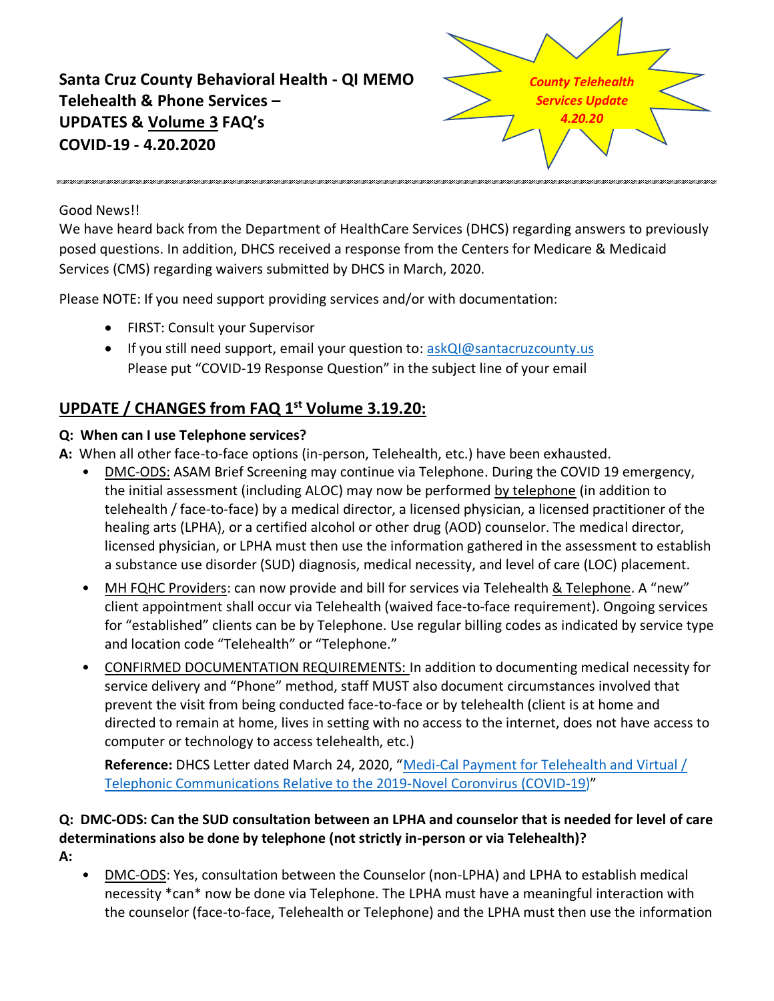

#### Good News!!

We have heard back from the Department of HealthCare Services (DHCS) regarding answers to previously posed questions. In addition, DHCS received a response from the Centers for Medicare & Medicaid Services (CMS) regarding waivers submitted by DHCS in March, 2020.

1 1111 1211 1211 1211 1211 1211 1211 1211 1211 1211 1211 1211 1211 1211 1211 1211 1211 1211 1211 1211 1211 121

Please NOTE: If you need support providing services and/or with documentation:

• FIRST: Consult your Supervisor

• If you still need support, email your question to: askQl@santacruzcounty.us Please put "COVID-19 Response Question" in the subject line of your email

### **UPDATE / CHANGES from FAQ 1st Volume 3.19.20:**

#### **Q: When can I use Telephone services?**

- **A:** When all other face-to-face options (in-person, Telehealth, etc.) have been exhausted.
	- DMC-ODS: ASAM Brief Screening may continue via Telephone. During the COVID 19 emergency, the initial assessment (including ALOC) may now be performed by telephone (in addition to telehealth / face-to-face) by a medical director, a licensed physician, a licensed practitioner of the healing arts (LPHA), or a certified alcohol or other drug (AOD) counselor. The medical director, licensed physician, or LPHA must then use the information gathered in the assessment to establish a substance use disorder (SUD) diagnosis, medical necessity, and level of care (LOC) placement.
	- MH FQHC Providers: can now provide and bill for services via Telehealth & Telephone. A "new" client appointment shall occur via Telehealth (waived face-to-face requirement). Ongoing services for "established" clients can be by Telephone. Use regular billing codes as indicated by service type and location code "Telehealth" or "Telephone."
	- CONFIRMED DOCUMENTATION REQUIREMENTS: In addition to documenting medical necessity for service delivery and "Phone" method, staff MUST also document circumstances involved that prevent the visit from being conducted face-to-face or by telehealth (client is at home and directed to remain at home, lives in setting with no access to the internet, does not have access to computer or technology to access telehealth, etc.)

**Reference:** DHCS Letter dated March 24, 2020, "[Medi-Cal Payment for Telehealth and Virtual /](https://www.dhcs.ca.gov/Documents/COVID-19/Telehealth_Other_Virtual_Telephonic_Communications_V3.0.pdf)  [Telephonic Communications Relative to the 2019-Novel Coronvirus \(COVID-19\)](https://www.dhcs.ca.gov/Documents/COVID-19/Telehealth_Other_Virtual_Telephonic_Communications_V3.0.pdf)"

### **Q: DMC-ODS: Can the SUD consultation between an LPHA and counselor that is needed for level of care determinations also be done by telephone (not strictly in-person or via Telehealth)?**

- **A:**
- DMC-ODS: Yes, consultation between the Counselor (non-LPHA) and LPHA to establish medical necessity \*can\* now be done via Telephone. The LPHA must have a meaningful interaction with the counselor (face-to-face, Telehealth or Telephone) and the LPHA must then use the information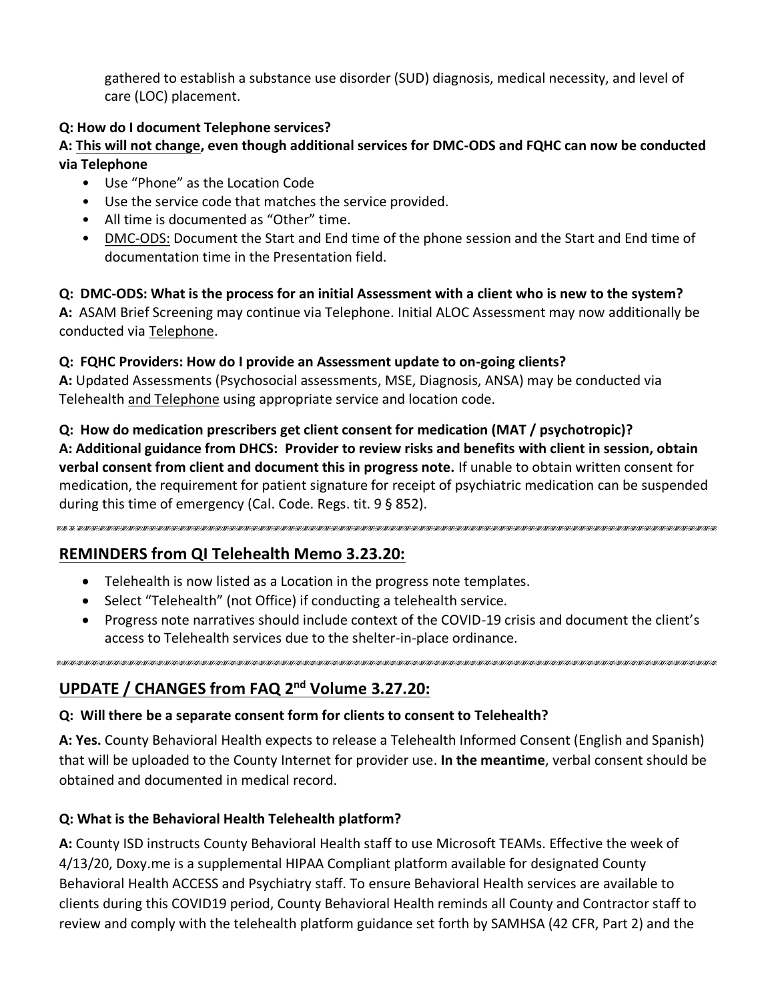gathered to establish a substance use disorder (SUD) diagnosis, medical necessity, and level of care (LOC) placement.

#### **Q: How do I document Telephone services?**

#### **A: This will not change, even though additional services for DMC-ODS and FQHC can now be conducted via Telephone**

- Use "Phone" as the Location Code
- Use the service code that matches the service provided.
- All time is documented as "Other" time.
- DMC-ODS: Document the Start and End time of the phone session and the Start and End time of documentation time in the Presentation field.

**Q: DMC-ODS: What is the process for an initial Assessment with a client who is new to the system? A:** ASAM Brief Screening may continue via Telephone. Initial ALOC Assessment may now additionally be conducted via Telephone.

#### **Q: FQHC Providers: How do I provide an Assessment update to on-going clients?**

**A:** Updated Assessments (Psychosocial assessments, MSE, Diagnosis, ANSA) may be conducted via Telehealth and Telephone using appropriate service and location code.

**Q: How do medication prescribers get client consent for medication (MAT / psychotropic)? A: Additional guidance from DHCS: Provider to review risks and benefits with client in session, obtain verbal consent from client and document this in progress note.** If unable to obtain written consent for medication, the requirement for patient signature for receipt of psychiatric medication can be suspended during this time of emergency (Cal. Code. Regs. tit. 9 § 852).

# **REMINDERS from QI Telehealth Memo 3.23.20:**

- Telehealth is now listed as a Location in the progress note templates.
- Select "Telehealth" (not Office) if conducting a telehealth service.
- Progress note narratives should include context of the COVID-19 crisis and document the client's access to Telehealth services due to the shelter-in-place ordinance.

# **UPDATE / CHANGES from FAQ 2nd Volume 3.27.20:**

# **Q: Will there be a separate consent form for clients to consent to Telehealth?**

**A: Yes.** County Behavioral Health expects to release a Telehealth Informed Consent (English and Spanish) that will be uploaded to the County Internet for provider use. **In the meantime**, verbal consent should be obtained and documented in medical record.

# **Q: What is the Behavioral Health Telehealth platform?**

**A:** County ISD instructs County Behavioral Health staff to use Microsoft TEAMs. Effective the week of 4/13/20, Doxy.me is a supplemental HIPAA Compliant platform available for designated County Behavioral Health ACCESS and Psychiatry staff. To ensure Behavioral Health services are available to clients during this COVID19 period, County Behavioral Health reminds all County and Contractor staff to review and comply with the telehealth platform guidance set forth by SAMHSA (42 CFR, Part 2) and the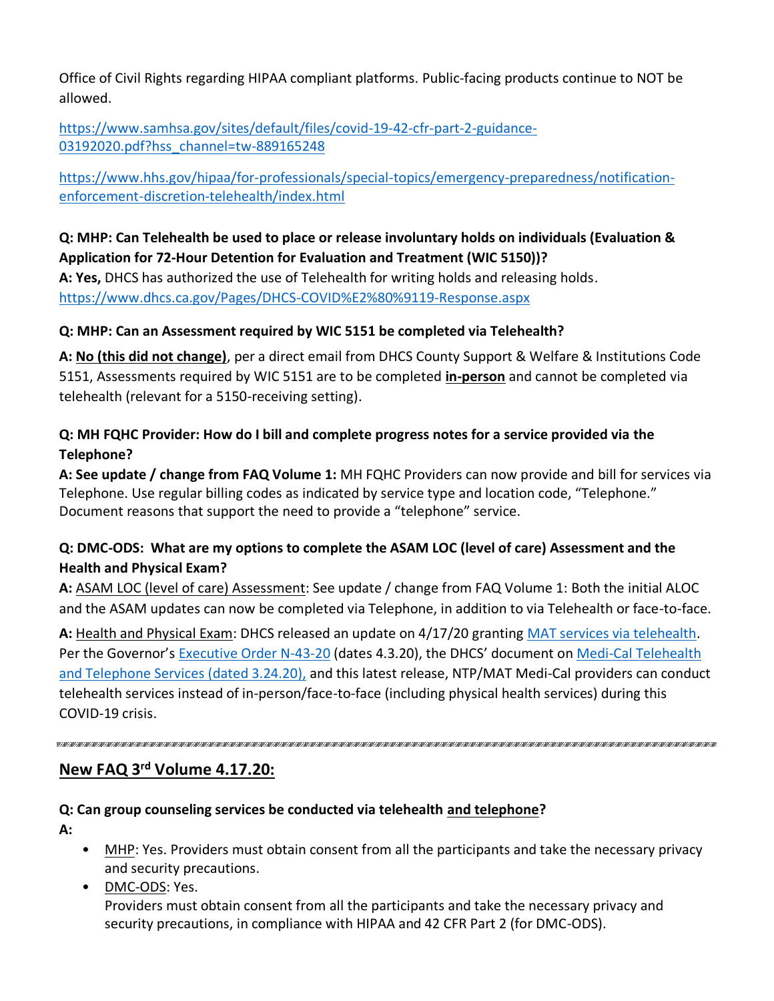Office of Civil Rights regarding HIPAA compliant platforms. Public-facing products continue to NOT be allowed.

[https://www.samhsa.gov/sites/default/files/covid-19-42-cfr-part-2-guidance-](https://www.samhsa.gov/sites/default/files/covid-19-42-cfr-part-2-guidance-03192020.pdf?hss_channel=tw-889165248)[03192020.pdf?hss\\_channel=tw-889165248](https://www.samhsa.gov/sites/default/files/covid-19-42-cfr-part-2-guidance-03192020.pdf?hss_channel=tw-889165248)

[https://www.hhs.gov/hipaa/for-professionals/special-topics/emergency-preparedness/notification](https://www.hhs.gov/hipaa/for-professionals/special-topics/emergency-preparedness/notification-enforcement-discretion-telehealth/index.html)[enforcement-discretion-telehealth/index.html](https://www.hhs.gov/hipaa/for-professionals/special-topics/emergency-preparedness/notification-enforcement-discretion-telehealth/index.html)

#### **Q: MHP: Can Telehealth be used to place or release involuntary holds on individuals (Evaluation & Application for 72-Hour Detention for Evaluation and Treatment (WIC 5150))?**

**A: Yes,** DHCS has authorized the use of Telehealth for writing holds and releasing holds. <https://www.dhcs.ca.gov/Pages/DHCS-COVID%E2%80%9119-Response.aspx>

#### **Q: MHP: Can an Assessment required by WIC 5151 be completed via Telehealth?**

**A: No (this did not change)**, per a direct email from DHCS County Support & Welfare & Institutions Code 5151, Assessments required by WIC 5151 are to be completed **in-person** and cannot be completed via telehealth (relevant for a 5150-receiving setting).

### **Q: MH FQHC Provider: How do I bill and complete progress notes for a service provided via the Telephone?**

**A: See update / change from FAQ Volume 1:** MH FQHC Providers can now provide and bill for services via Telephone. Use regular billing codes as indicated by service type and location code, "Telephone." Document reasons that support the need to provide a "telephone" service.

#### **Q: DMC-ODS: What are my options to complete the ASAM LOC (level of care) Assessment and the Health and Physical Exam?**

**A:** ASAM LOC (level of care) Assessment: See update / change from FAQ Volume 1: Both the initial ALOC and the ASAM updates can now be completed via Telephone, in addition to via Telehealth or face-to-face.

**A:** Health and Physical Exam: DHCS released an update on 4/17/20 granting [MAT services via telehealth.](https://www.dhcs.ca.gov/provgovpart/Documents/COVID-19-FAQ-MAT-and-Telehealth_CSD.pdf) Per the Governor's [Executive Order N-43-20](https://www.gov.ca.gov/wp-content/uploads/2020/04/4.3.20-EO-N-43-20-text.pdf) (dates 4.3.20), the DHCS' document on [Medi-Cal Telehealth](https://www.dhcs.ca.gov/Documents/COVID-19/Telehealth_Other_Virtual_Telephonic_Communications_V3.0.pdf)  [and Telephone Services \(dated 3.24.20\),](https://www.dhcs.ca.gov/Documents/COVID-19/Telehealth_Other_Virtual_Telephonic_Communications_V3.0.pdf) and this latest release, NTP/MAT Medi-Cal providers can conduct telehealth services instead of in-person/face-to-face (including physical health services) during this COVID-19 crisis.

#### 

### **New FAQ 3rd Volume 4.17.20:**

### **Q: Can group counseling services be conducted via telehealth and telephone?**

**A:**

- MHP: Yes. Providers must obtain consent from all the participants and take the necessary privacy and security precautions.
- DMC-ODS: Yes. Providers must obtain consent from all the participants and take the necessary privacy and security precautions, in compliance with HIPAA and 42 CFR Part 2 (for DMC-ODS).